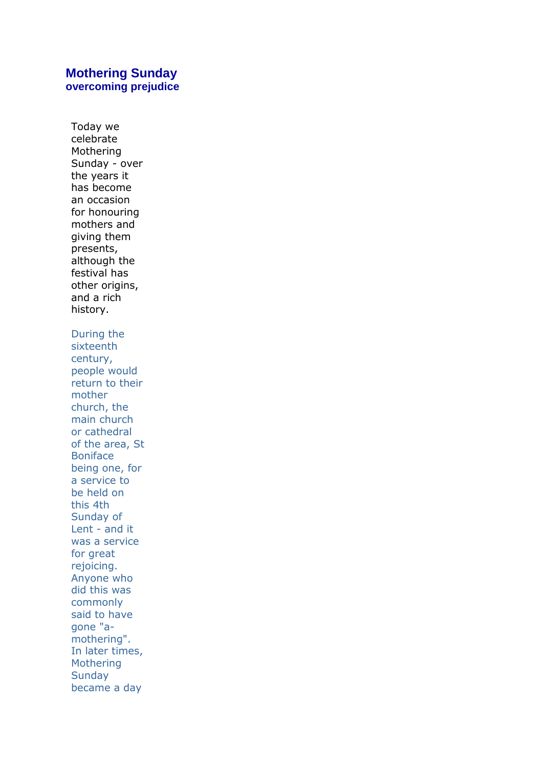# **Mothering Sunday overcoming prejudice**

Today we celebrate Mothering Sunday - over the years it has become an occasion for honouring mothers and giving them presents, although the festival has other origins, and a rich history. During the sixteenth century, people would return to their mother church, the main church or cathedral of the area, St Boniface being one, for a service to be held on this 4th Sunday of Lent - and it was a service for great rejoicing. Anyone who did this was commonly said to have gone "amothering". In later times, Mothering **Sunday** became a day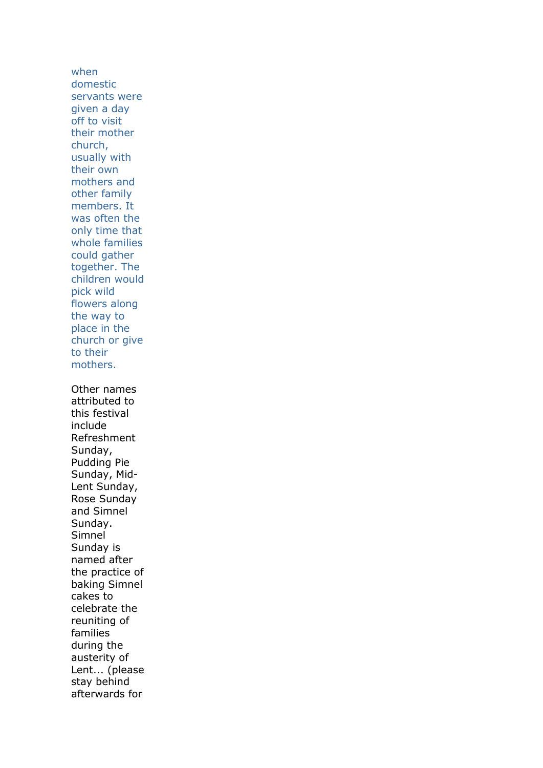when domestic servants were given a day off to visit their mother church, usually with their own mothers and other family members. It was often the only time that whole families could gather together. The children would pick wild flowers along the way to place in the church or give to their mothers. Other names attributed to this festival include Refreshment Sunday, Pudding Pie Sunday, Mid-Lent Sunday, Rose Sunday and Simnel Sunday. Simnel Sunday is named after the practice of baking Simnel cakes to celebrate the reuniting of families during the austerity of Lent... (please stay behind afterwards for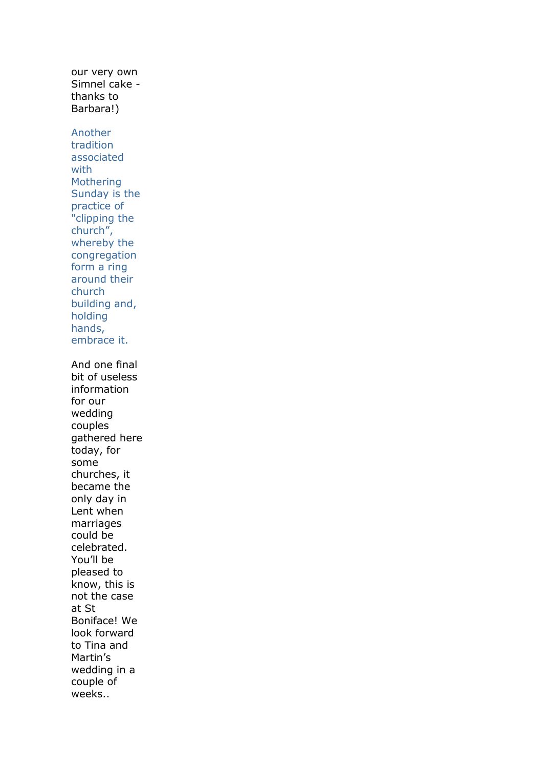our very own Simnel cake thanks to Barbara!) Another tradition associated with Mothering Sunday is the practice of "clipping the church", whereby the congregation form a ring around their church building and, holding hands, embrace it. And one final bit of useless information for our wedding couples gathered here today, for some churches, it became the only day in Lent when marriages could be celebrated. You'll be pleased to know, this is not the case at St Boniface! We look forward to Tina and Martin's wedding in a couple of weeks..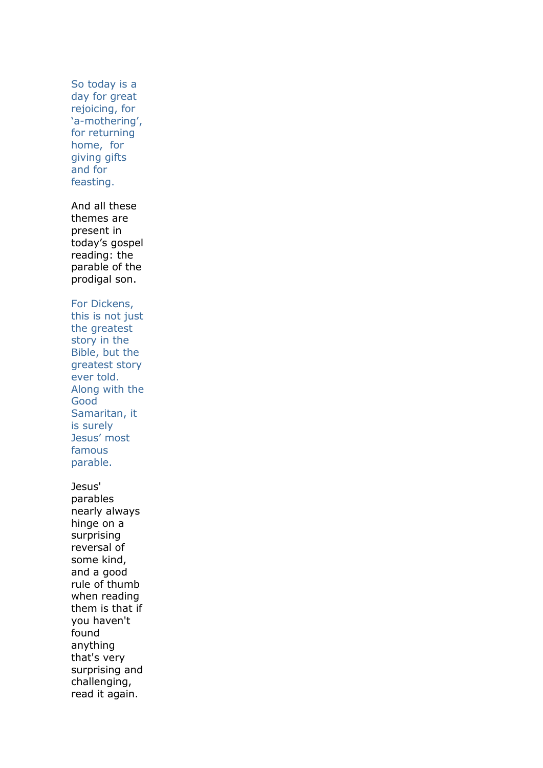So today is a day for great rejoicing, for 'a-mothering', for returning home, for giving gifts and for feasting.

And all these themes are present in today's gospel reading: the parable of the prodigal son.

#### For Dickens,

this is not just the greatest story in the Bible, but the greatest story ever told. Along with the Good Samaritan, it is surely Jesus' most famous parable.

Jesus' parables nearly always hinge on a surprising reversal of some kind, and a good rule of thumb when reading them is that if you haven't found anything that's very surprising and challenging, read it again.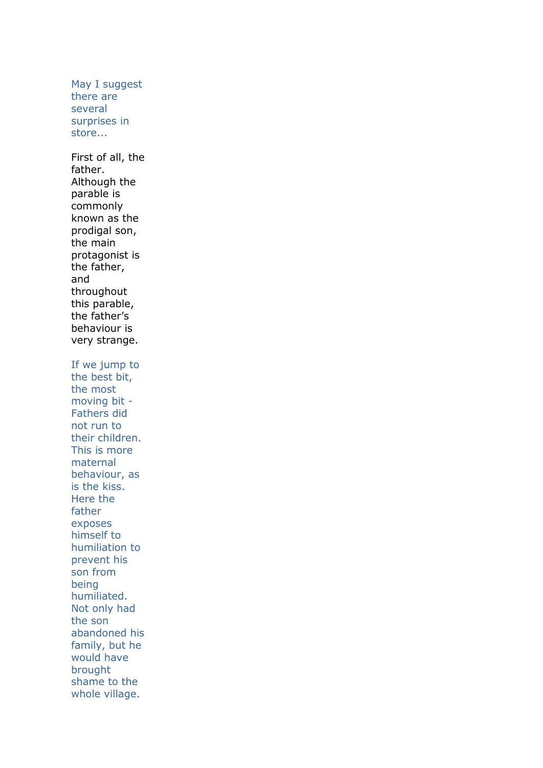May I suggest there are several surprises in store... First of all, the father. Although the parable is commonly known as the prodigal son, the main protagonist is the father, and throughout this parable, the father's behaviour is very strange. If we jump to the best bit, the most moving bit - Fathers did not run to their children. This is more maternal behaviour, as is the kiss. Here the father exposes himself to humiliation to prevent his son from being humiliated. Not only had the son abandoned his family, but he would have brought shame to the whole village.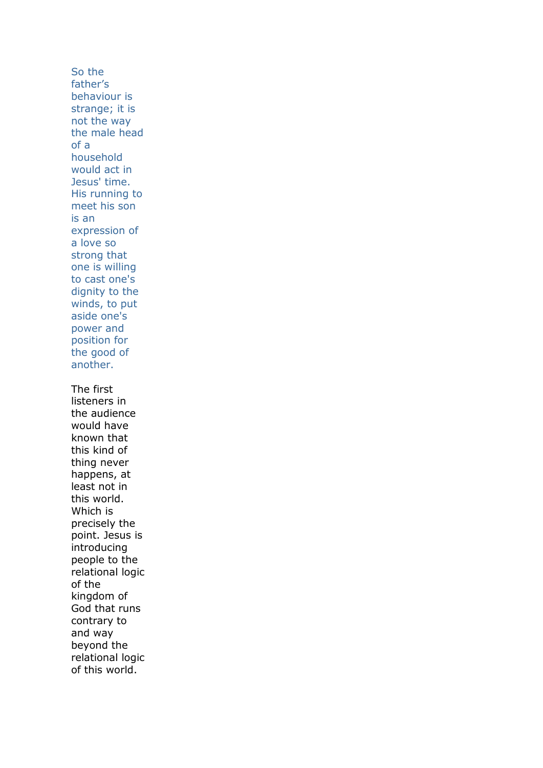So the father's behaviour is strange; it is not the way the male head of a household would act in Jesus' time. His running to meet his son is an expression of a love so strong that one is willing to cast one's dignity to the winds, to put aside one's power and position for the good of another. The first listeners in the audience would have known that this kind of thing never happens, at least not in this world. Which is precisely the point. Jesus is introducing people to the relational logic of the kingdom of God that runs contrary to and way beyond the relational logic of this world.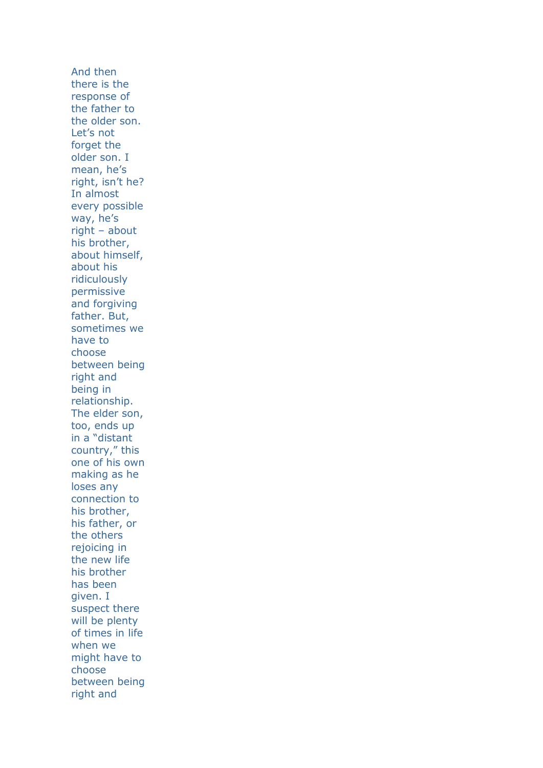And then there is the response of the father to the older son. Let's not forget the older son. I mean, he's right, isn't he? In almost every possible way, he's right – about his brother, about himself, about his ridiculously permissive and forgiving father. But, sometimes we have to choose between being right and being in relationship. The elder son, too, ends up in a "distant country," this one of his own making as he loses any connection to his brother, his father, or the others rejoicing in the new life his brother has been given. I suspect there will be plenty of times in life when we might have to choose between being right and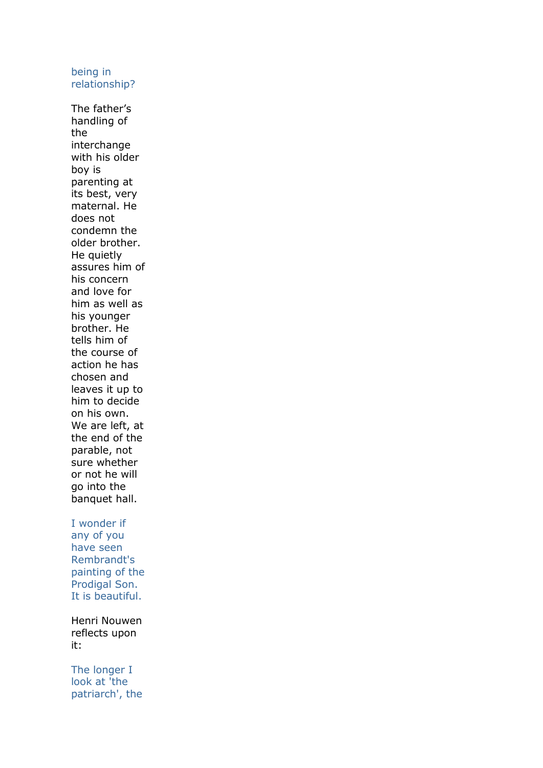#### being in relationship?

The father's handling of the interchange with his older boy is parenting at its best, very maternal. He does not condemn the older brother. He quietly assures him of his concern and love for him as well as his younger brother. He tells him of the course of action he has chosen and leaves it up to him to decide on his own. We are left, at the end of the parable, not sure whether or not he will go into the banquet hall.

### I wonder if any of you have seen Rembrandt's painting of the Prodigal Son.

Henri Nouwen reflects upon it:

It is beautiful.

The longer I look at 'the patriarch', the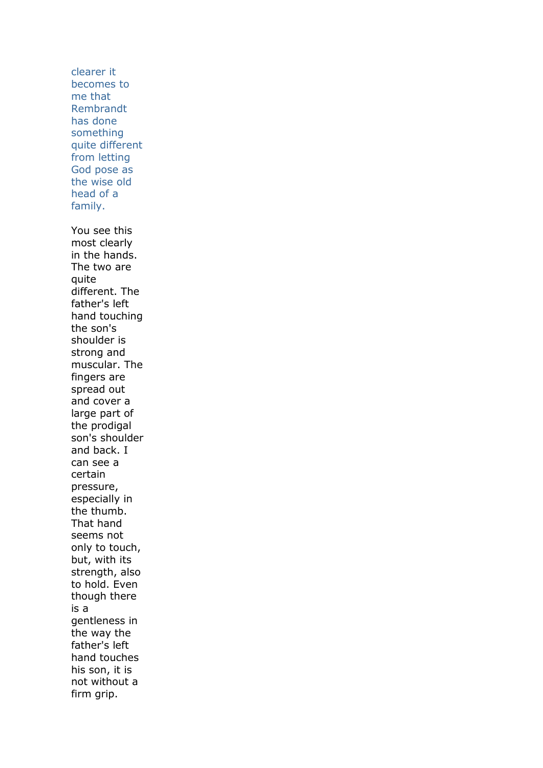clearer it becomes to me that Rembrandt has done something quite different from letting God pose as the wise old head of a family. You see this most clearly in the hands. The two are quite different. The father's left hand touching the son's shoulder is strong and muscular. The fingers are spread out and cover a large part of the prodigal son's shoulder and back. I can see a certain pressure, especially in the thumb. That hand seems not only to touch, but, with its strength, also to hold. Even though there is a gentleness in the way the father's left hand touches his son, it is not without a firm grip.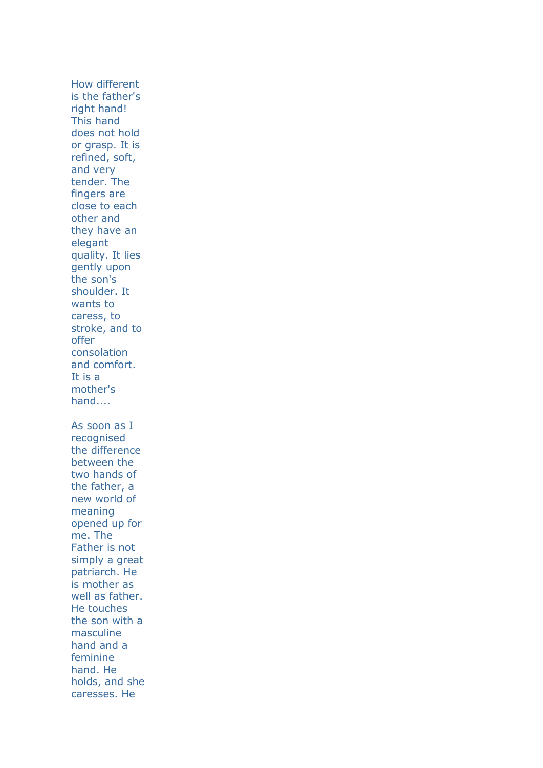How different is the father's right hand! This hand does not hold or grasp. It is refined, soft, and very tender. The fingers are close to each other and they have an elegant quality. It lies gently upon the son's shoulder. It wants to caress, to stroke, and to offer consolation and comfort. It is a mother's hand.... As soon as I recognised the difference between the two hands of the father, a new world of meaning opened up for me. The Father is not simply a great patriarch. He is mother as well as father. He touches the son with a masculine hand and a feminine hand. He holds, and she caresses. He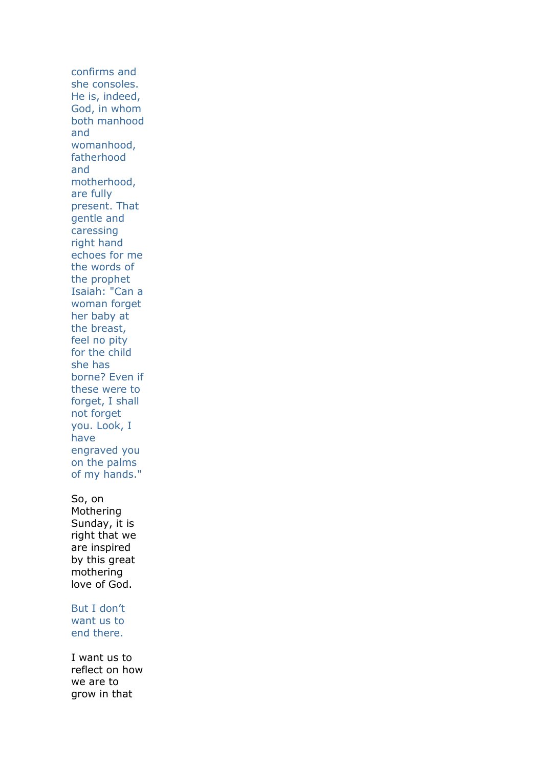confirms and she consoles. He is, indeed, God, in whom both manhood and womanhood, fatherhood and motherhood, are fully present. That gentle and caressing right hand echoes for me the words of the prophet Isaiah: "Can a woman forget her baby at the breast, feel no pity for the child she has borne? Even if these were to forget, I shall not forget you. Look, I have engraved you on the palms of my hands." So, on Mothering Sunday, it is right that we are inspired by this great mothering love of God. But I don't

want us to end there.

I want us to reflect on how we are to grow in that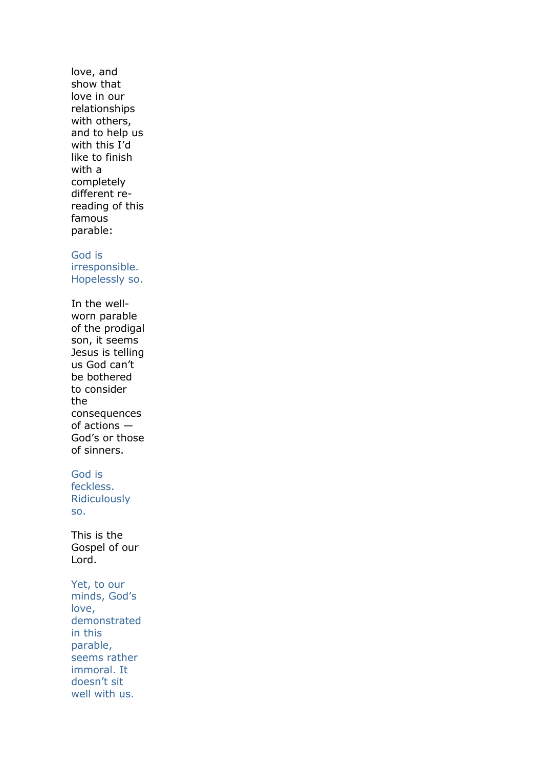love, and show that love in our relationships with others, and to help us with this I'd like to finish with a completely different rereading of this famous parable:

## God is

irresponsible. Hopelessly so.

In the wellworn parable of the prodigal son, it seems Jesus is telling us God can't be bothered to consider the consequences of actions — God's or those of sinners.

# God is

feckless. Ridiculously so.

This is the Gospel of our Lord.

Yet, to our minds, God's love, demonstrated in this parable, seems rather immoral. It doesn't sit well with us.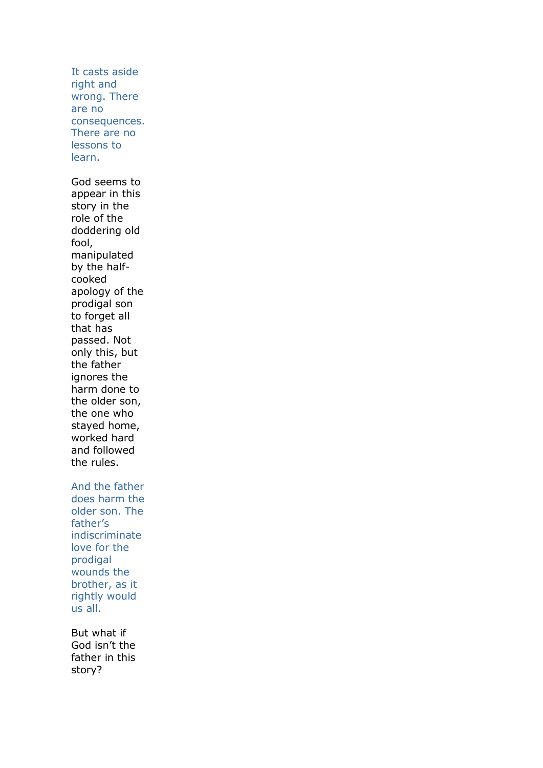It casts aside right and wrong. There are no consequences. There are no lessons to learn. God seems to appear in this story in the role of the doddering old fool, manipulated by the halfcooked apology of the prodigal son to forget all that has passed. Not only this, but the father ignores the harm done to the older son, the one who stayed home, worked hard and followed the rules. And the father does harm the older son. The father's indiscriminate love for the prodigal wounds the brother, as it rightly would us all. But what if

God isn't the father in this story?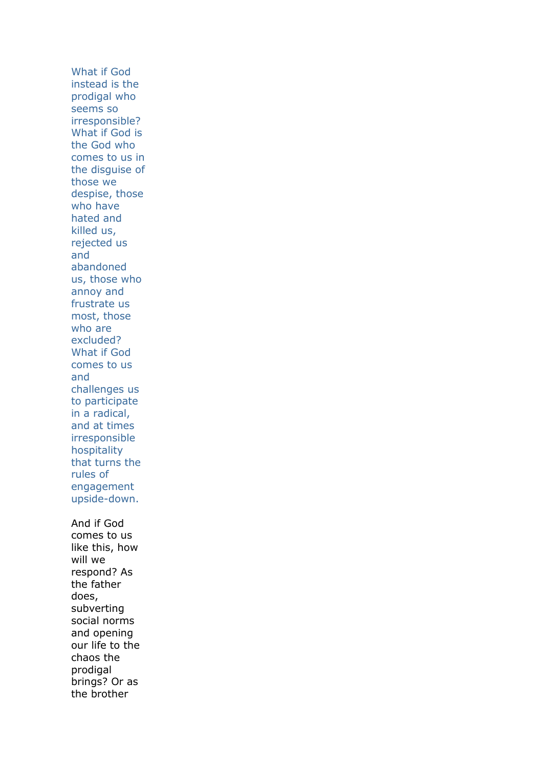What if God instead is the prodigal who seems so irresponsible? What if God is the God who comes to us in the disguise of those we despise, those who have hated and killed us, rejected us and abandoned us, those who annoy and frustrate us most, those who are excluded? What if God comes to us and challenges us to participate in a radical, and at times irresponsible hospitality that turns the rules of engagement upside-down. And if God comes to us like this, how will we respond? As the father does, subverting social norms and opening our life to the chaos the prodigal brings? Or as the brother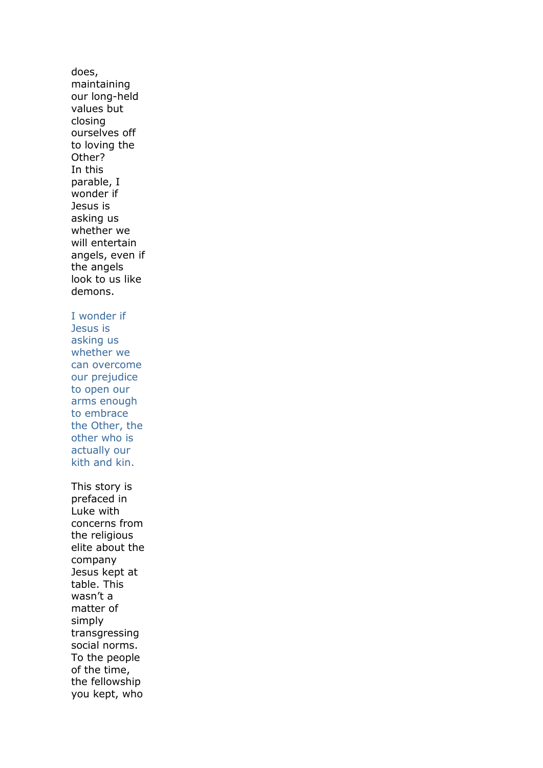does, maintaining our long-held values but closing ourselves off to loving the Other? In this parable, I wonder if Jesus is asking us whether we will entertain angels, even if the angels look to us like demons. I wonder if Jesus is asking us whether we can overcome our prejudice to open our arms enough to embrace the Other, the other who is actually our kith and kin. This story is prefaced in Luke with concerns from the religious elite about the company Jesus kept at table. This wasn't a matter of simply transgressing social norms. To the people of the time, the fellowship you kept, who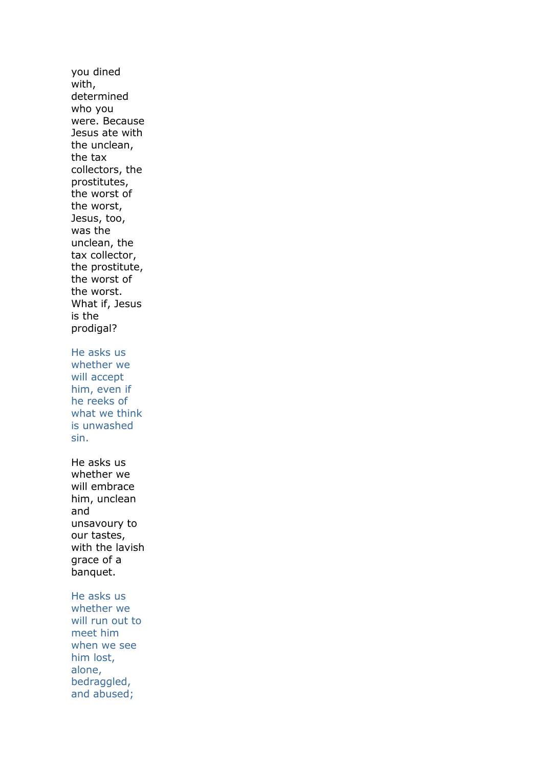you dined with, determined who you were. Because Jesus ate with the unclean, the tax collectors, the prostitutes, the worst of the worst, Jesus, too, was the unclean, the tax collector, the prostitute, the worst of the worst. What if, Jesus is the prodigal? He asks us whether we will accept him, even if he reeks of what we think is unwashed sin. He asks us whether we will embrace him, unclean and unsavoury to our tastes, with the lavish grace of a banquet. He asks us whether we will run out to meet him when we see him lost, alone, bedraggled,

and abused;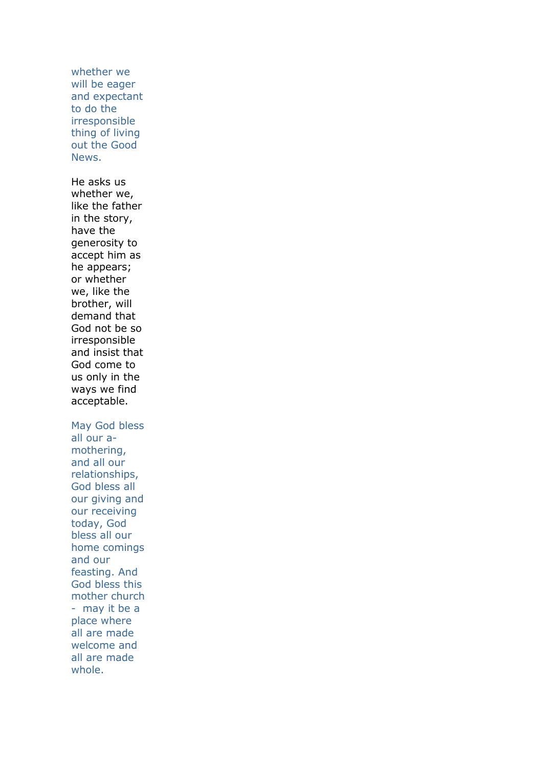whether we will be eager and expectant to do the irresponsible thing of living out the Good News. He asks us whether we, like the father in the story, have the generosity to accept him as he appears; or whether we, like the brother, will demand that God not be so irresponsible and insist that God come to us only in the ways we find acceptable. May God bless all our amothering, and all our relationships, God bless all our giving and our receiving today, God bless all our home comings and our feasting. And God bless this mother church - may it be a place where all are made welcome and all are made whole.